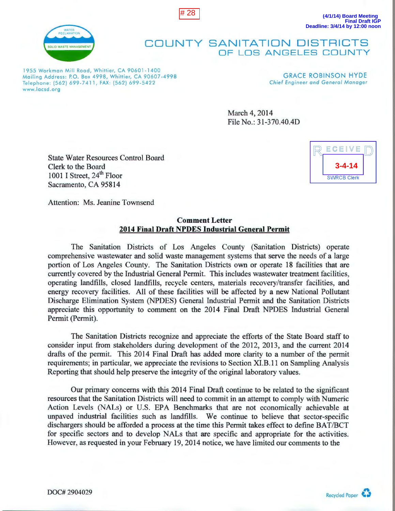



**(4/1/14) Board Meeting Final Draft IGP Deadline: 3/4/14 by 12:00 noon**

## **COUNTY SANITATION DISTRICTS**  OF LOS ANGELES COUNTY

1955 Workman Mill Road, Whittier, CA 90601-1400 Mailing Address: P.O. Box 4998, Whittier, CA 90607-4998 Telephone: (562) 699-7411, FAX: (562) 699-5422 www.locsd .org

GRACE ROBINSON HYDE **Chief Engineer and General Manager** 

March 4, 2014 File No.: 31-370.40.4D

State Water Resources Control Board Clerk to the Board 1001 I Street, 24<sup>th</sup> Floor Sacramento, CA 95814

ECEIVE **3-4-14 SWRCB Clerk** 

Attention: Ms. Jeanine Townsend

## **Comment Letter 2014 Final Draft NPDES Industrial General Permit**

The Sanitation Districts of Los Angeles County (Sanitation Districts) operate comprehensive wastewater and solid waste management systems that serve the needs of a large portion of Los Angeles County. The Sanitation Districts own or operate 18 facilities that are currently covered by the Industrial General Permit. This includes wastewater treatment facilities, operating landfills, closed landfills, recycle centers, materials recovery/transfer facilities, and energy recovery facilities. All of these facilities will be affected by a new National Pollutant Discharge Elimination System (NPDES) General Industrial Permit and the Sanitation Districts appreciate this opportunity to comment on the 2014 Final Draft NPDES Industrial General Permit (Permit).

The Sanitation Districts recognize and appreciate the efforts of the State Board staff to consider input from stakeholders during development of the 2012, 2013, and the current 2014 drafts of the permit. This 2014 Final Draft has added more clarity to a number of the permit requirements; in particular, we appreciate the revisions to Section XI.B.11 on Sampling Analysis Reporting that should help preserve the integrity of the original laboratory values.

Our primary concerns with this 2014 Final Draft continue to be related to the significant resources that the Sanitation Districts will need to commit in an attempt to comply with Numeric Action Levels (NALs) or U.S. EPA Benchmarks that are not economically achievable at unpaved industrial facilities such as landfills. We continue to believe that sector-specific dischargers should be afforded a process at the time this Permit takes effect to define BAT/BCT for specific sectors and to develop NALs that are specific and appropriate for the activities. However, as requested in your February 19, 2014 notice, we have limited our comments to the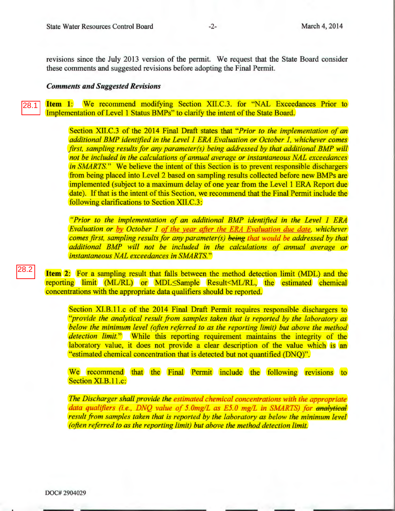revisions since the July 2013 version of the permit. We request that the State Board consider these comments and suggested revisions before adopting the Final Permit.

## *Comments and Suggested Revisions*

**Item 1:** We recommend modifying Section XII.C.3. for "NAL Exceedances Prior to Implementation of Level **1** Status BMPs" to clarify the intent of the State Board. 28.1

> Section XII.C.3 of the 2014 Final Draft states that *"Prior to the implementation of an additional BMP identified in the Level 1 ERA Evaluation or October 1, whichever comes first, sampling results for any parameter(s) being addressed by that additional BMP will not be included in the calculations of annual average or instantaneous NAL exceedances in SMARTS.*" We believe the intent of this Section is to prevent responsible dischargers from being placed into Level 2 based on sampling results collected before new BMPs are implemented (subject to a maximum delay of one year from the Level **1** ERA Report due date). If that is the intent of this Section, we recommend that the Final Permit include the following clarifications to Section XII.C.3:

> *"Prior to the implementation of an additional BMP identified in the Level 1 ERA Evaluation or by October 1 of the year after the ERA Evaluation due date, whichever comes first, sampling results for any parameter(s)* being *that would be addressed by that additional BMP will not be included in the calculations of annual average or instantaneous NAL exceedances in SMARTS."*

**Item 2:** For a sampling result that falls between the method detection limit (MDL) and the reporting limit (ML/RL) or MDL Sample Result <ML/RL, the estimated chemical concentrations with the appropriate data qualifiers should be reported.

Section XI.B.11.c of the 2014 Final Draft Permit requires responsible dischargers to *''provide the analytical result from samples taken that is reported by the laboratory as below the minimum level (often referred to as the reporting limit) but above the method detection limit."* While this reporting requirement maintains the integrity of the laboratory value, it does not provide a clear description of the value which is an "estimated chemical concentration that is detected but not quantified (DNQ)".

We recommend that the Final Permit include the following revisions to Section XI.B.11.c:

*The Discharger shall provide the estimated chemical concentrations with the appropriate data qualifiers (i.e. , DNQ value of 5.0mg/L as E5.0 mg/L in SMARTS) for analytical result from samples taken that is reported by the laboratory as below the minimum level (often referred to as the reporting limit) but above the method detection limit.*